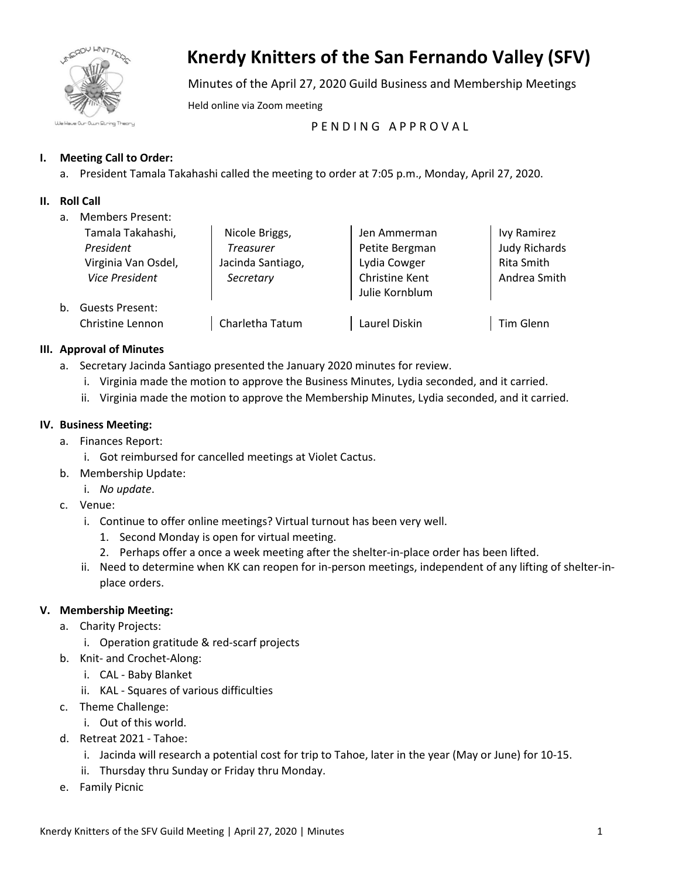

# **Knerdy Knitters of the San Fernando Valley (SFV)**

Minutes of the April 27, 2020 Guild Business and Membership Meetings

Held online via Zoom meeting

PENDING APPROVAL

# **I. Meeting Call to Order:**

a. President Tamala Takahashi called the meeting to order at 7:05 p.m., Monday, April 27, 2020.

# **II. Roll Call**

a. Members Present:

|    | Tamala Takahashi,<br>President<br>Virginia Van Osdel, | Nicole Briggs,<br><b>Treasurer</b><br>Jacinda Santiago, | Jen Ammerman<br>Petite Bergman<br>Lydia Cowger | Ivy Ramirez<br><b>Judy Richards</b><br>Rita Smith |
|----|-------------------------------------------------------|---------------------------------------------------------|------------------------------------------------|---------------------------------------------------|
|    | <b>Vice President</b>                                 | Secretary                                               | Christine Kent<br>Julie Kornblum               | Andrea Smith                                      |
| b. | <b>Guests Present:</b>                                |                                                         |                                                |                                                   |
|    | Christine Lennon                                      | Charletha Tatum                                         | Laurel Diskin                                  | Tim Glenn                                         |

## **III. Approval of Minutes**

- a. Secretary Jacinda Santiago presented the January 2020 minutes for review.
	- i. Virginia made the motion to approve the Business Minutes, Lydia seconded, and it carried.
	- ii. Virginia made the motion to approve the Membership Minutes, Lydia seconded, and it carried.

## **IV. Business Meeting:**

- a. Finances Report:
	- i. Got reimbursed for cancelled meetings at Violet Cactus.
- b. Membership Update:
	- i. *No update*.
- c. Venue:
	- i. Continue to offer online meetings? Virtual turnout has been very well.
		- 1. Second Monday is open for virtual meeting.
		- 2. Perhaps offer a once a week meeting after the shelter-in-place order has been lifted.
	- ii. Need to determine when KK can reopen for in-person meetings, independent of any lifting of shelter-inplace orders.

## **V. Membership Meeting:**

- a. Charity Projects:
	- i. Operation gratitude & red-scarf projects
- b. Knit- and Crochet-Along:
	- i. CAL Baby Blanket
	- ii. KAL Squares of various difficulties
- c. Theme Challenge:
	- i. Out of this world.
- d. Retreat 2021 Tahoe:
	- i. Jacinda will research a potential cost for trip to Tahoe, later in the year (May or June) for 10-15.
	- ii. Thursday thru Sunday or Friday thru Monday.
- e. Family Picnic